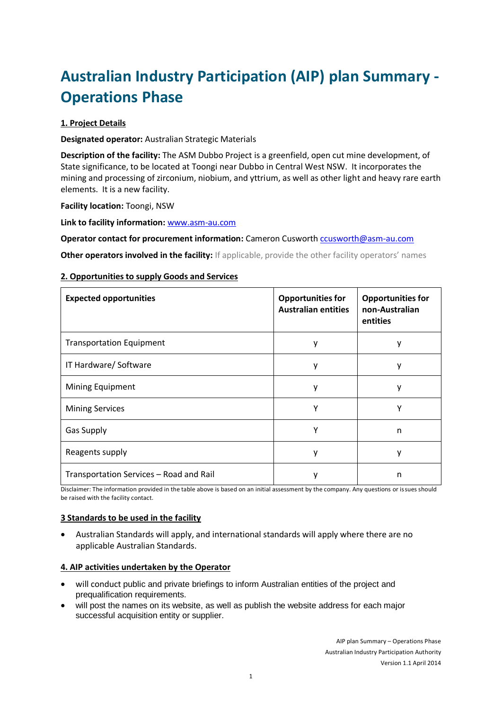# **Australian Industry Participation (AIP) plan Summary - Operations Phase**

# **1. Project Details**

**Designated operator:** Australian Strategic Materials

**Description of the facility:** The ASM Dubbo Project is a greenfield, open cut mine development, of State significance, to be located at Toongi near Dubbo in Central West NSW. It incorporates the mining and processing of zirconium, niobium, and yttrium, as well as other light and heavy rare earth elements. It is a new facility.

**Facility location:** Toongi, NSW

**Link to facility information:** www.asm-au.com

**Operator contact for procurement information:** Cameron Cusworth [ccusworth@asm-au.com](mailto:ccusworth@asm-au.com)

**Other operators involved in the facility:** If applicable, provide the other facility operators' names

### **2. Opportunities to supply Goods and Services**

| <b>Expected opportunities</b>           | <b>Opportunities for</b><br><b>Australian entities</b> | <b>Opportunities for</b><br>non-Australian<br>entities |
|-----------------------------------------|--------------------------------------------------------|--------------------------------------------------------|
| <b>Transportation Equipment</b>         | у                                                      | у                                                      |
| IT Hardware/ Software                   | у                                                      | у                                                      |
| Mining Equipment                        | ۷                                                      | ٧                                                      |
| <b>Mining Services</b>                  | Υ                                                      | Υ                                                      |
| <b>Gas Supply</b>                       | γ                                                      | n                                                      |
| Reagents supply                         | ۷                                                      |                                                        |
| Transportation Services - Road and Rail | ۷                                                      | n                                                      |

Disclaimer: The information provided in the table above is based on an initial assessment by the company. Any questions or issues should be raised with the facility contact.

## **3 Standards to be used in the facility**

 Australian Standards will apply, and international standards will apply where there are no applicable Australian Standards.

#### **4. AIP activities undertaken by the Operator**

- will conduct public and private briefings to inform Australian entities of the project and prequalification requirements.
- will post the names on its website, as well as publish the website address for each major successful acquisition entity or supplier.